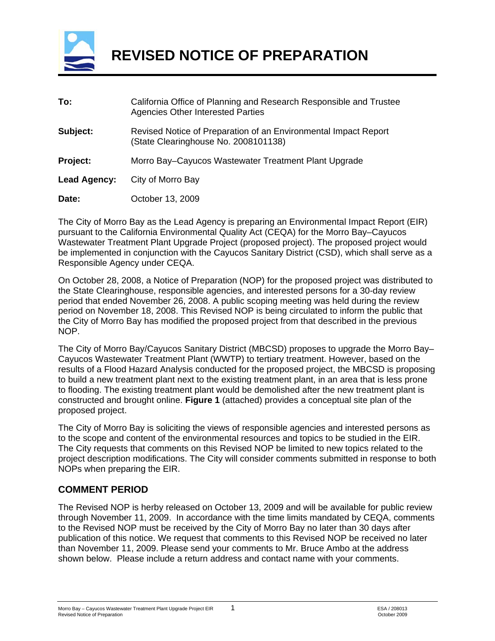

 **REVISED NOTICE OF PREPARATION** 

| To:          | California Office of Planning and Research Responsible and Trustee<br><b>Agencies Other Interested Parties</b> |
|--------------|----------------------------------------------------------------------------------------------------------------|
| Subject:     | Revised Notice of Preparation of an Environmental Impact Report<br>(State Clearinghouse No. 2008101138)        |
| Project:     | Morro Bay–Cayucos Wastewater Treatment Plant Upgrade                                                           |
| Lead Agency: | City of Morro Bay                                                                                              |
| Date:        | October 13, 2009                                                                                               |

The City of Morro Bay as the Lead Agency is preparing an Environmental Impact Report (EIR) pursuant to the California Environmental Quality Act (CEQA) for the Morro Bay–Cayucos Wastewater Treatment Plant Upgrade Project (proposed project). The proposed project would be implemented in conjunction with the Cayucos Sanitary District (CSD), which shall serve as a Responsible Agency under CEQA.

On October 28, 2008, a Notice of Preparation (NOP) for the proposed project was distributed to the State Clearinghouse, responsible agencies, and interested persons for a 30-day review period that ended November 26, 2008. A public scoping meeting was held during the review period on November 18, 2008. This Revised NOP is being circulated to inform the public that the City of Morro Bay has modified the proposed project from that described in the previous NOP.

The City of Morro Bay/Cayucos Sanitary District (MBCSD) proposes to upgrade the Morro Bay– Cayucos Wastewater Treatment Plant (WWTP) to tertiary treatment. However, based on the results of a Flood Hazard Analysis conducted for the proposed project, the MBCSD is proposing to build a new treatment plant next to the existing treatment plant, in an area that is less prone to flooding. The existing treatment plant would be demolished after the new treatment plant is constructed and brought online. **Figure 1** (attached) provides a conceptual site plan of the proposed project.

The City of Morro Bay is soliciting the views of responsible agencies and interested persons as to the scope and content of the environmental resources and topics to be studied in the EIR. The City requests that comments on this Revised NOP be limited to new topics related to the project description modifications. The City will consider comments submitted in response to both NOPs when preparing the EIR.

#### **COMMENT PERIOD**

The Revised NOP is herby released on October 13, 2009 and will be available for public review through November 11, 2009. In accordance with the time limits mandated by CEQA, comments to the Revised NOP must be received by the City of Morro Bay no later than 30 days after publication of this notice. We request that comments to this Revised NOP be received no later than November 11, 2009. Please send your comments to Mr. Bruce Ambo at the address shown below. Please include a return address and contact name with your comments.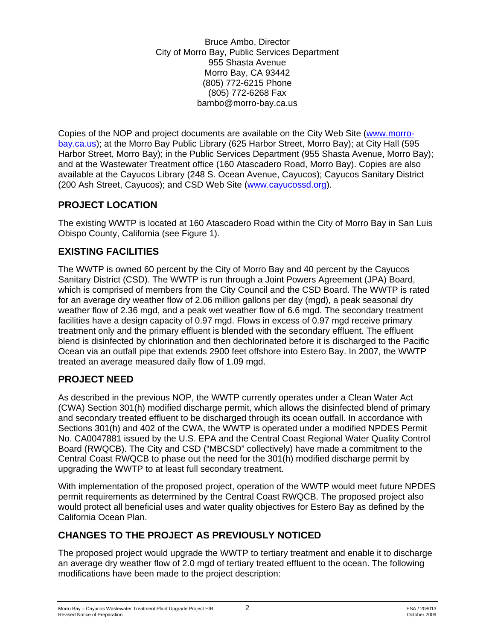Bruce Ambo, Director City of Morro Bay, Public Services Department 955 Shasta Avenue Morro Bay, CA 93442 (805) 772-6215 Phone (805) 772-6268 Fax bambo@morro-bay.ca.us

Copies of the NOP and project documents are available on the City Web Site [\(www.morro](http://www.morro-bay.ca.us/)[bay.ca.us](http://www.morro-bay.ca.us/)); at the Morro Bay Public Library (625 Harbor Street, Morro Bay); at City Hall (595 Harbor Street, Morro Bay); in the Public Services Department (955 Shasta Avenue, Morro Bay); and at the Wastewater Treatment office (160 Atascadero Road, Morro Bay). Copies are also available at the Cayucos Library (248 S. Ocean Avenue, Cayucos); Cayucos Sanitary District (200 Ash Street, Cayucos); and CSD Web Site [\(www.cayucossd.org\)](http://www.cayucossd.org/).

## **PROJECT LOCATION**

The existing WWTP is located at 160 Atascadero Road within the City of Morro Bay in San Luis Obispo County, California (see Figure 1).

## **EXISTING FACILITIES**

The WWTP is owned 60 percent by the City of Morro Bay and 40 percent by the Cayucos Sanitary District (CSD). The WWTP is run through a Joint Powers Agreement (JPA) Board, which is comprised of members from the City Council and the CSD Board. The WWTP is rated for an average dry weather flow of 2.06 million gallons per day (mgd), a peak seasonal dry weather flow of 2.36 mgd, and a peak wet weather flow of 6.6 mgd. The secondary treatment facilities have a design capacity of 0.97 mgd. Flows in excess of 0.97 mgd receive primary treatment only and the primary effluent is blended with the secondary effluent. The effluent blend is disinfected by chlorination and then dechlorinated before it is discharged to the Pacific Ocean via an outfall pipe that extends 2900 feet offshore into Estero Bay. In 2007, the WWTP treated an average measured daily flow of 1.09 mgd.

# **PROJECT NEED**

As described in the previous NOP, the WWTP currently operates under a Clean Water Act (CWA) Section 301(h) modified discharge permit, which allows the disinfected blend of primary and secondary treated effluent to be discharged through its ocean outfall. In accordance with Sections 301(h) and 402 of the CWA, the WWTP is operated under a modified NPDES Permit No. CA0047881 issued by the U.S. EPA and the Central Coast Regional Water Quality Control Board (RWQCB). The City and CSD ("MBCSD" collectively) have made a commitment to the Central Coast RWQCB to phase out the need for the 301(h) modified discharge permit by upgrading the WWTP to at least full secondary treatment.

With implementation of the proposed project, operation of the WWTP would meet future NPDES permit requirements as determined by the Central Coast RWQCB. The proposed project also would protect all beneficial uses and water quality objectives for Estero Bay as defined by the California Ocean Plan.

# **CHANGES TO THE PROJECT AS PREVIOUSLY NOTICED**

The proposed project would upgrade the WWTP to tertiary treatment and enable it to discharge an average dry weather flow of 2.0 mgd of tertiary treated effluent to the ocean. The following modifications have been made to the project description: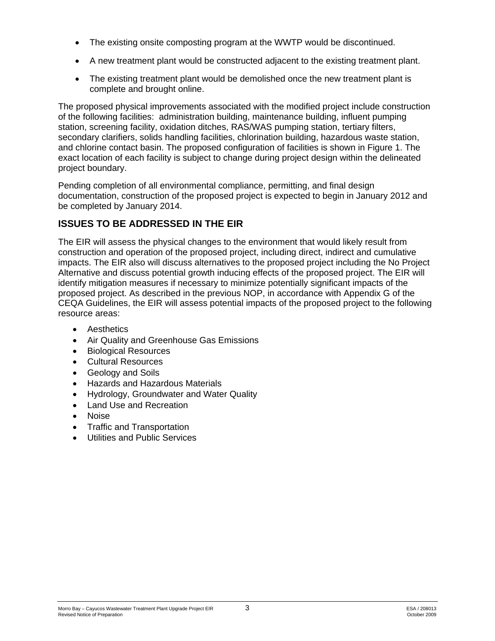- The existing onsite composting program at the WWTP would be discontinued.
- A new treatment plant would be constructed adjacent to the existing treatment plant.
- The existing treatment plant would be demolished once the new treatment plant is complete and brought online.

The proposed physical improvements associated with the modified project include construction of the following facilities: administration building, maintenance building, influent pumping station, screening facility, oxidation ditches, RAS/WAS pumping station, tertiary filters, secondary clarifiers, solids handling facilities, chlorination building, hazardous waste station, and chlorine contact basin. The proposed configuration of facilities is shown in Figure 1. The exact location of each facility is subject to change during project design within the delineated project boundary.

Pending completion of all environmental compliance, permitting, and final design documentation, construction of the proposed project is expected to begin in January 2012 and be completed by January 2014.

## **ISSUES TO BE ADDRESSED IN THE EIR**

The EIR will assess the physical changes to the environment that would likely result from construction and operation of the proposed project, including direct, indirect and cumulative impacts. The EIR also will discuss alternatives to the proposed project including the No Project Alternative and discuss potential growth inducing effects of the proposed project. The EIR will identify mitigation measures if necessary to minimize potentially significant impacts of the proposed project. As described in the previous NOP, in accordance with Appendix G of the CEQA Guidelines, the EIR will assess potential impacts of the proposed project to the following resource areas:

- Aesthetics
- Air Quality and Greenhouse Gas Emissions
- Biological Resources
- Cultural Resources
- Geology and Soils
- Hazards and Hazardous Materials
- Hydrology, Groundwater and Water Quality
- Land Use and Recreation
- Noise
- Traffic and Transportation
- Utilities and Public Services